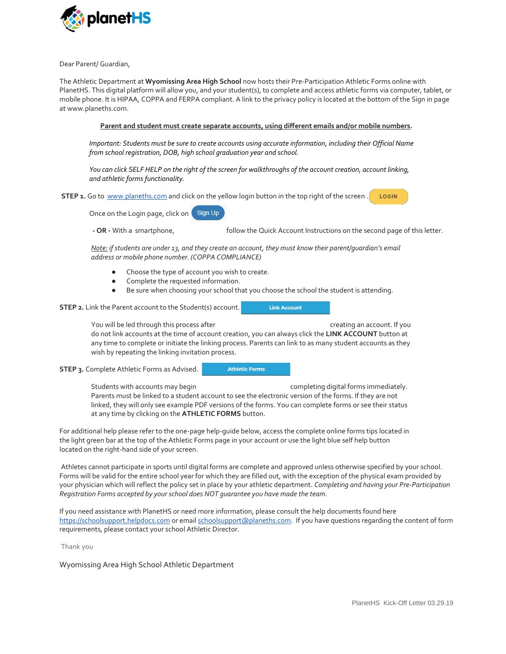

Dear Parent/ Guardian,

The Athletic Department at **Wyomissing Area High School** now hosts their Pre-Participation Athletic Forms online with PlanetHS. This digital platform will allow you, and your student(s), to complete and access athletic forms via computer, tablet, or mobile phone. It is HIPAA, COPPA and FERPA compliant. A link to the privacy policy is located at the bottom of the Sign in page at www.planeths.com.

## **Parent and student must create separate accounts, using different emails and/or mobile numbers.**

*Important: Students must be sure to create accounts using accurate information, including their Official Name from school registration, DOB, high school graduation year and school.* 

*You can click SELF HELP on the right of the screen for walkthroughs of the account creation, account linking, and athletic forms functionality.*

**STEP 1.** Go to [www.planeths.com](https://www.planeths.com/) and click on the yellow login button in the top right of the screen . LOGIN

Sign Up Once on the Login page, click on

**- OR -** With a smartphone, follow the Quick Account Instructions on the second page of this letter.

*Note: if students are under 13, and they create an account, they must know their parent/guardian's email address or mobile phone number. (COPPA COMPLIANCE)*

- Choose the type of account you wish to create.
- Complete the requested information.
- Be sure when choosing your school that you choose the school the student is attending.

**STEP 2.** Link the Parent account to the Student(s) account.

**Link Account** 

You will be led through this process after example and creating an account. If you

do not link accounts at the time of account creation, you can always click the **LINK ACCOUNT** button at any time to complete or initiate the linking process. Parents can link to as many student accounts as they wish by repeating the linking invitation process.

**STEP 3.** Complete Athletic Forms as Advised.

**Athletic Forms** 

Students with accounts may begin example that completing digital forms immediately. Parents must be linked to a student account to see the electronic version of the forms. If they are not linked, they will only see example PDF versions of the forms. You can complete forms or see their status at any time by clicking on the **ATHLETIC FORMS** button.

For additional help please refer to the one-page help-guide below, access the complete online forms tips located in the light green bar at the top of the Athletic Forms page in your account or use the light blue self help button located on the right-hand side of your screen.

Athletes cannot participate in sports until digital forms are complete and approved unless otherwise specified by your school. Forms will be valid for the entire school year for which they are filled out, with the exception of the physical exam provided by your physician which will reflect the policy set in place by your athletic department. *Completing and having your Pre-Participation Registration Forms accepted by your school does NOT guarantee you have made the team.*

If you need assistance with PlanetHS or need more information, please consult the help documents found here [https://schoolsupport.helpdocs.com](https://schoolsupport.helpdocs.com/) or emai[l schoolsupport@planeths.com.](mailto:schoolsupport@planeths.com) If you have questions regarding the content of form requirements, please contact your school Athletic Director.

Thank you

Wyomissing Area High School Athletic Department